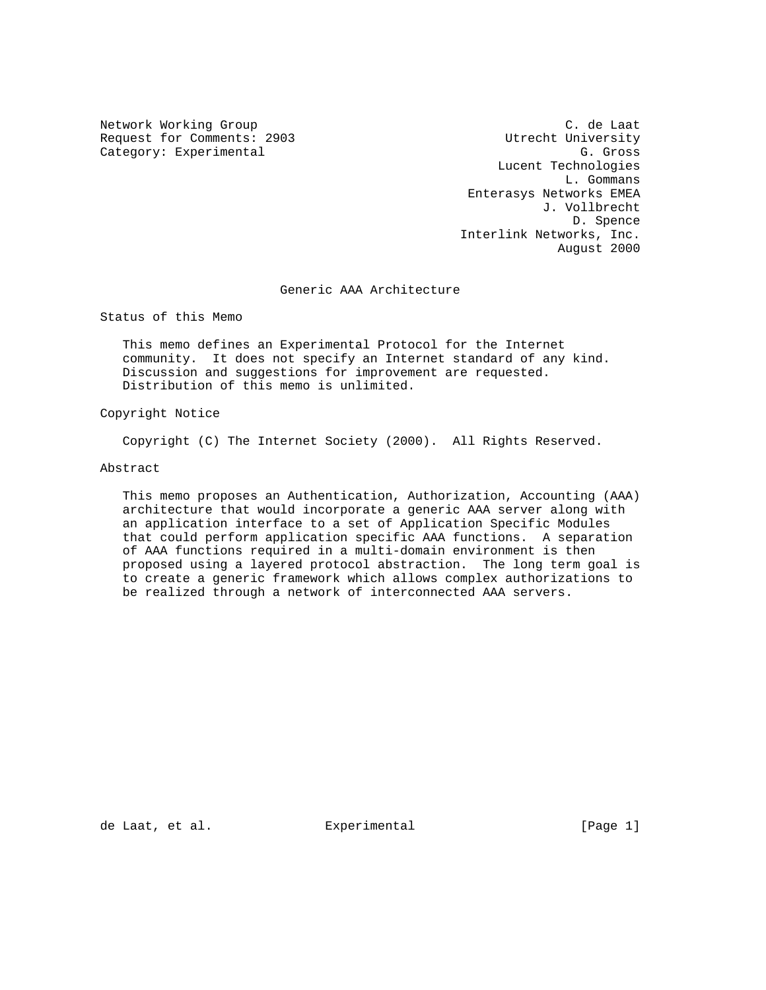Request for Comments: 2903<br>
Category: Experimental G. Gross Category: Experimental

Network Working Group C. de Laat Lucent Technologies L. Gommans Enterasys Networks EMEA J. Vollbrecht D. Spence Interlink Networks, Inc. August 2000

## Generic AAA Architecture

Status of this Memo

 This memo defines an Experimental Protocol for the Internet community. It does not specify an Internet standard of any kind. Discussion and suggestions for improvement are requested. Distribution of this memo is unlimited.

Copyright Notice

Copyright (C) The Internet Society (2000). All Rights Reserved.

Abstract

 This memo proposes an Authentication, Authorization, Accounting (AAA) architecture that would incorporate a generic AAA server along with an application interface to a set of Application Specific Modules that could perform application specific AAA functions. A separation of AAA functions required in a multi-domain environment is then proposed using a layered protocol abstraction. The long term goal is to create a generic framework which allows complex authorizations to be realized through a network of interconnected AAA servers.

de Laat, et al. Experimental [Page 1]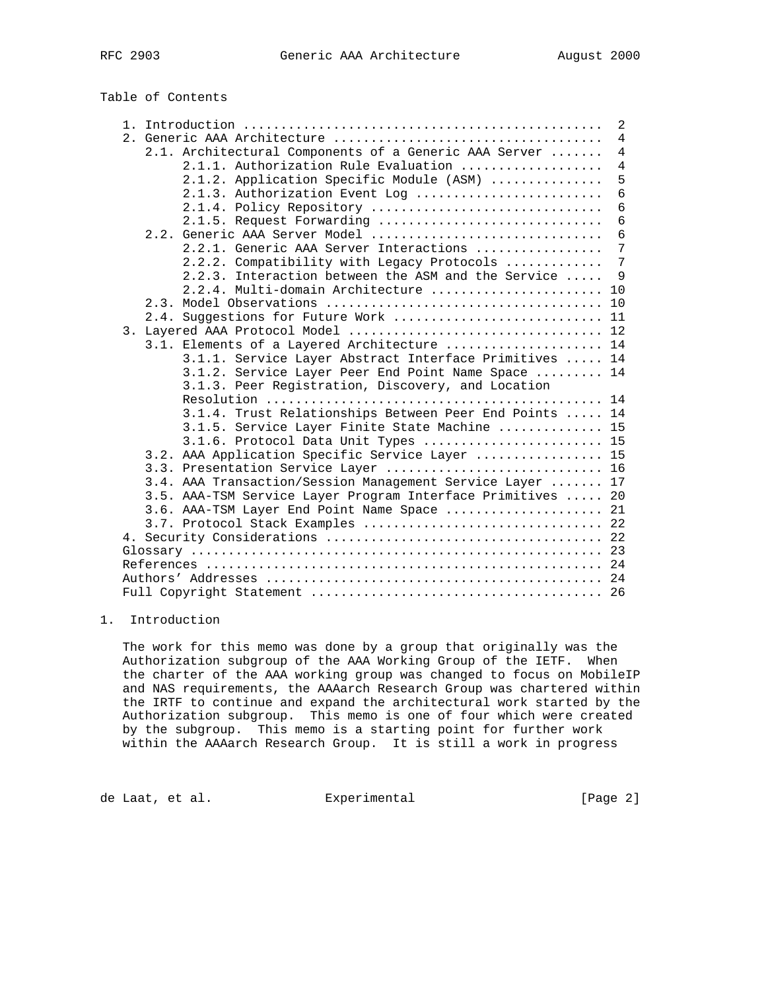Table of Contents

|  |                                                             | $\overline{2}$ |
|--|-------------------------------------------------------------|----------------|
|  |                                                             | $\overline{4}$ |
|  | 2.1. Architectural Components of a Generic AAA Server       | $\overline{4}$ |
|  | 2.1.1. Authorization Rule Evaluation                        | $\overline{4}$ |
|  | 2.1.2. Application Specific Module (ASM)                    | 5              |
|  | 2.1.3. Authorization Event Log                              | 6              |
|  | 2.1.4. Policy Repository                                    | 6              |
|  | 2.1.5. Request Forwarding                                   | $\epsilon$     |
|  | Generic AAA Server Model<br>2.2.                            | 6              |
|  | 2.2.1. Generic AAA Server Interactions                      | 7              |
|  | 2.2.2. Compatibility with Legacy Protocols                  | 7              |
|  | 2.2.3. Interaction between the ASM and the Service          | 9              |
|  | 2.2.4. Multi-domain Architecture  10                        |                |
|  |                                                             |                |
|  | 2.4. Suggestions for Future Work  11                        |                |
|  |                                                             |                |
|  | 3.1. Elements of a Layered Architecture  14                 |                |
|  | 3.1.1. Service Layer Abstract Interface Primitives  14      |                |
|  | 3.1.2. Service Layer Peer End Point Name Space  14          |                |
|  | 3.1.3. Peer Registration, Discovery, and Location           |                |
|  |                                                             |                |
|  | 3.1.4. Trust Relationships Between Peer End Points  14      |                |
|  | 3.1.5. Service Layer Finite State Machine  15               |                |
|  | 3.1.6. Protocol Data Unit Types  15                         |                |
|  | 3.2. AAA Application Specific Service Layer  15             |                |
|  | 3.3. Presentation Service Layer  16                         |                |
|  | 3.4. AAA Transaction/Session Management Service Layer  17   |                |
|  | 3.5. AAA-TSM Service Layer Program Interface Primitives  20 |                |
|  | 3.6. AAA-TSM Layer End Point Name Space  21                 |                |
|  | 3.7. Protocol Stack Examples  22                            |                |
|  |                                                             |                |
|  |                                                             |                |
|  |                                                             |                |
|  |                                                             |                |
|  |                                                             |                |
|  |                                                             |                |

# 1. Introduction

 The work for this memo was done by a group that originally was the Authorization subgroup of the AAA Working Group of the IETF. When the charter of the AAA working group was changed to focus on MobileIP and NAS requirements, the AAAarch Research Group was chartered within the IRTF to continue and expand the architectural work started by the Authorization subgroup. This memo is one of four which were created by the subgroup. This memo is a starting point for further work within the AAAarch Research Group. It is still a work in progress

de Laat, et al. Experimental [Page 2]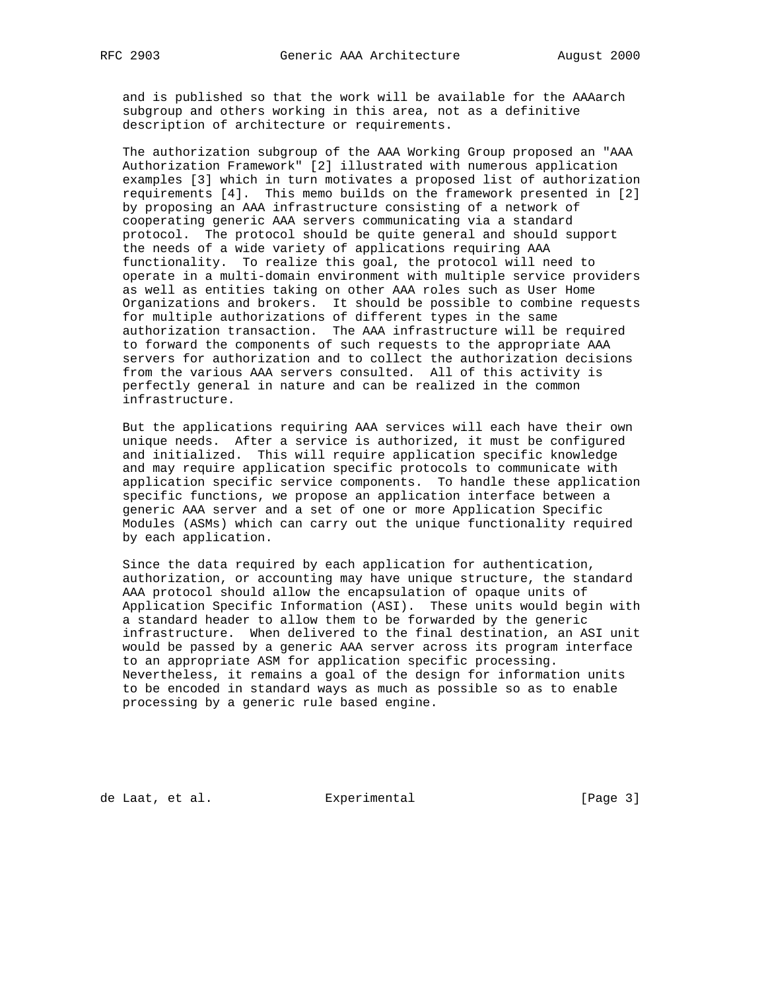and is published so that the work will be available for the AAAarch subgroup and others working in this area, not as a definitive description of architecture or requirements.

 The authorization subgroup of the AAA Working Group proposed an "AAA Authorization Framework" [2] illustrated with numerous application examples [3] which in turn motivates a proposed list of authorization requirements [4]. This memo builds on the framework presented in [2] by proposing an AAA infrastructure consisting of a network of cooperating generic AAA servers communicating via a standard protocol. The protocol should be quite general and should support the needs of a wide variety of applications requiring AAA functionality. To realize this goal, the protocol will need to operate in a multi-domain environment with multiple service providers as well as entities taking on other AAA roles such as User Home Organizations and brokers. It should be possible to combine requests for multiple authorizations of different types in the same authorization transaction. The AAA infrastructure will be required to forward the components of such requests to the appropriate AAA servers for authorization and to collect the authorization decisions from the various AAA servers consulted. All of this activity is perfectly general in nature and can be realized in the common infrastructure.

 But the applications requiring AAA services will each have their own unique needs. After a service is authorized, it must be configured and initialized. This will require application specific knowledge and may require application specific protocols to communicate with application specific service components. To handle these application specific functions, we propose an application interface between a generic AAA server and a set of one or more Application Specific Modules (ASMs) which can carry out the unique functionality required by each application.

 Since the data required by each application for authentication, authorization, or accounting may have unique structure, the standard AAA protocol should allow the encapsulation of opaque units of Application Specific Information (ASI). These units would begin with a standard header to allow them to be forwarded by the generic infrastructure. When delivered to the final destination, an ASI unit would be passed by a generic AAA server across its program interface to an appropriate ASM for application specific processing. Nevertheless, it remains a goal of the design for information units to be encoded in standard ways as much as possible so as to enable processing by a generic rule based engine.

de Laat, et al. Experimental [Page 3]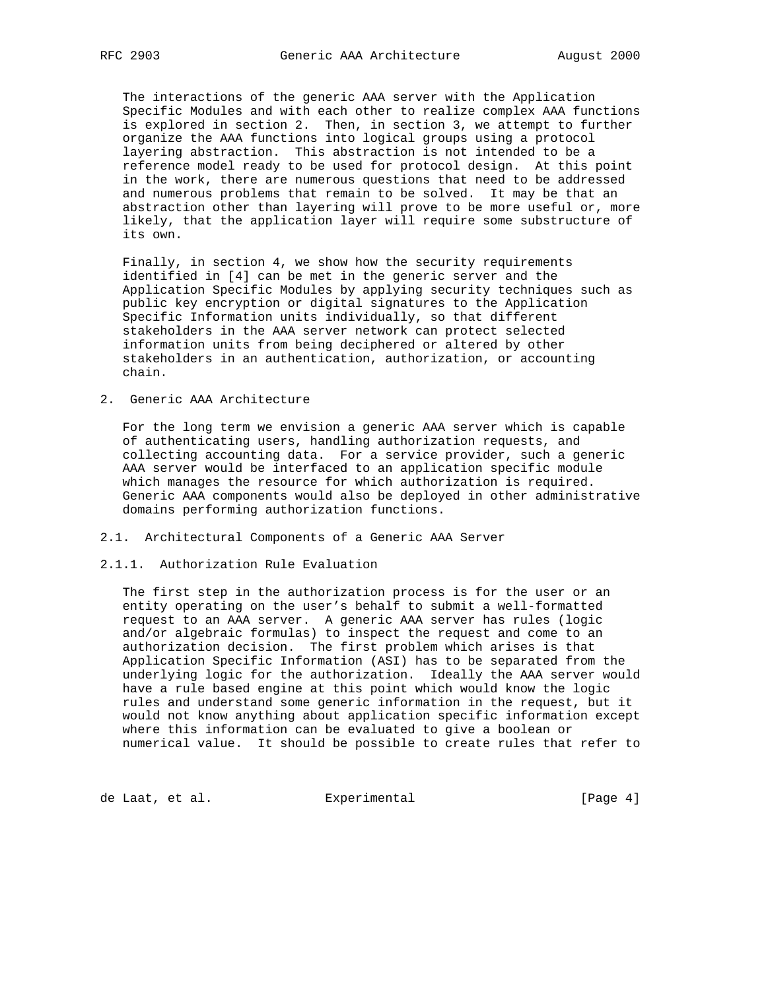The interactions of the generic AAA server with the Application Specific Modules and with each other to realize complex AAA functions is explored in section 2. Then, in section 3, we attempt to further organize the AAA functions into logical groups using a protocol layering abstraction. This abstraction is not intended to be a reference model ready to be used for protocol design. At this point in the work, there are numerous questions that need to be addressed and numerous problems that remain to be solved. It may be that an abstraction other than layering will prove to be more useful or, more likely, that the application layer will require some substructure of its own.

 Finally, in section 4, we show how the security requirements identified in [4] can be met in the generic server and the Application Specific Modules by applying security techniques such as public key encryption or digital signatures to the Application Specific Information units individually, so that different stakeholders in the AAA server network can protect selected information units from being deciphered or altered by other stakeholders in an authentication, authorization, or accounting chain.

2. Generic AAA Architecture

 For the long term we envision a generic AAA server which is capable of authenticating users, handling authorization requests, and collecting accounting data. For a service provider, such a generic AAA server would be interfaced to an application specific module which manages the resource for which authorization is required. Generic AAA components would also be deployed in other administrative domains performing authorization functions.

2.1. Architectural Components of a Generic AAA Server

## 2.1.1. Authorization Rule Evaluation

 The first step in the authorization process is for the user or an entity operating on the user's behalf to submit a well-formatted request to an AAA server. A generic AAA server has rules (logic and/or algebraic formulas) to inspect the request and come to an authorization decision. The first problem which arises is that Application Specific Information (ASI) has to be separated from the underlying logic for the authorization. Ideally the AAA server would have a rule based engine at this point which would know the logic rules and understand some generic information in the request, but it would not know anything about application specific information except where this information can be evaluated to give a boolean or numerical value. It should be possible to create rules that refer to

de Laat, et al. **Experimental** (Page 4)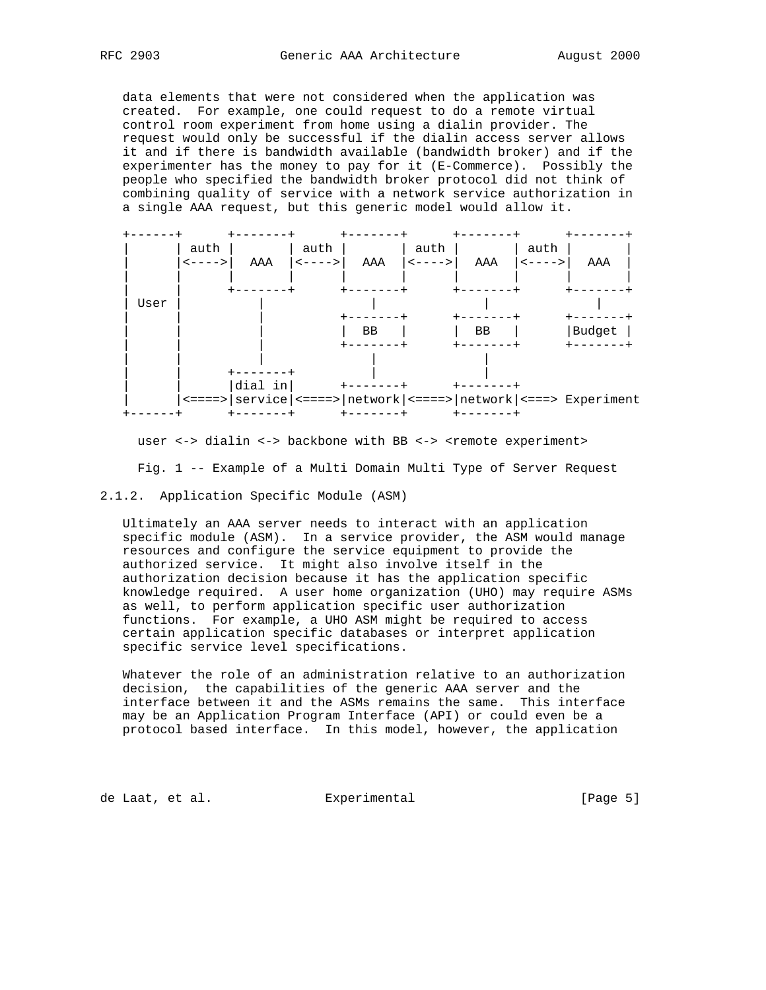data elements that were not considered when the application was created. For example, one could request to do a remote virtual control room experiment from home using a dialin provider. The request would only be successful if the dialin access server allows it and if there is bandwidth available (bandwidth broker) and if the experimenter has the money to pay for it (E-Commerce). Possibly the people who specified the bandwidth broker protocol did not think of combining quality of service with a network service authorization in a single AAA request, but this generic model would allow it.

|      | auth<br>$\leftarrow$ - - - > | AAA     | auth<br>$\leftarrow$ - - - > | AAA   | auth<br>$\left\langle - - - - \right\rangle$ | AAA | auth<br>$\left\langle - - - - \right\rangle$ | AAA                                                                       |  |
|------|------------------------------|---------|------------------------------|-------|----------------------------------------------|-----|----------------------------------------------|---------------------------------------------------------------------------|--|
|      |                              |         |                              | ----- |                                              |     |                                              |                                                                           |  |
| User |                              |         |                              |       |                                              |     |                                              |                                                                           |  |
|      |                              |         |                              |       |                                              |     |                                              |                                                                           |  |
|      |                              |         |                              | BB    |                                              | BB  |                                              | Budget                                                                    |  |
|      |                              |         |                              |       |                                              |     |                                              |                                                                           |  |
|      |                              |         |                              |       |                                              |     |                                              |                                                                           |  |
|      |                              | dial in |                              |       |                                              |     |                                              |                                                                           |  |
|      |                              |         |                              |       |                                              |     |                                              | <====>   service   <====>   network   <====>   network   <===> Experiment |  |
|      |                              |         |                              |       |                                              |     |                                              |                                                                           |  |

user <-> dialin <-> backbone with BB <-> <remote experiment>

Fig. 1 -- Example of a Multi Domain Multi Type of Server Request

## 2.1.2. Application Specific Module (ASM)

 Ultimately an AAA server needs to interact with an application specific module (ASM). In a service provider, the ASM would manage resources and configure the service equipment to provide the authorized service. It might also involve itself in the authorization decision because it has the application specific knowledge required. A user home organization (UHO) may require ASMs as well, to perform application specific user authorization functions. For example, a UHO ASM might be required to access certain application specific databases or interpret application specific service level specifications.

 Whatever the role of an administration relative to an authorization decision, the capabilities of the generic AAA server and the interface between it and the ASMs remains the same. This interface may be an Application Program Interface (API) or could even be a protocol based interface. In this model, however, the application

de Laat, et al. Experimental [Page 5]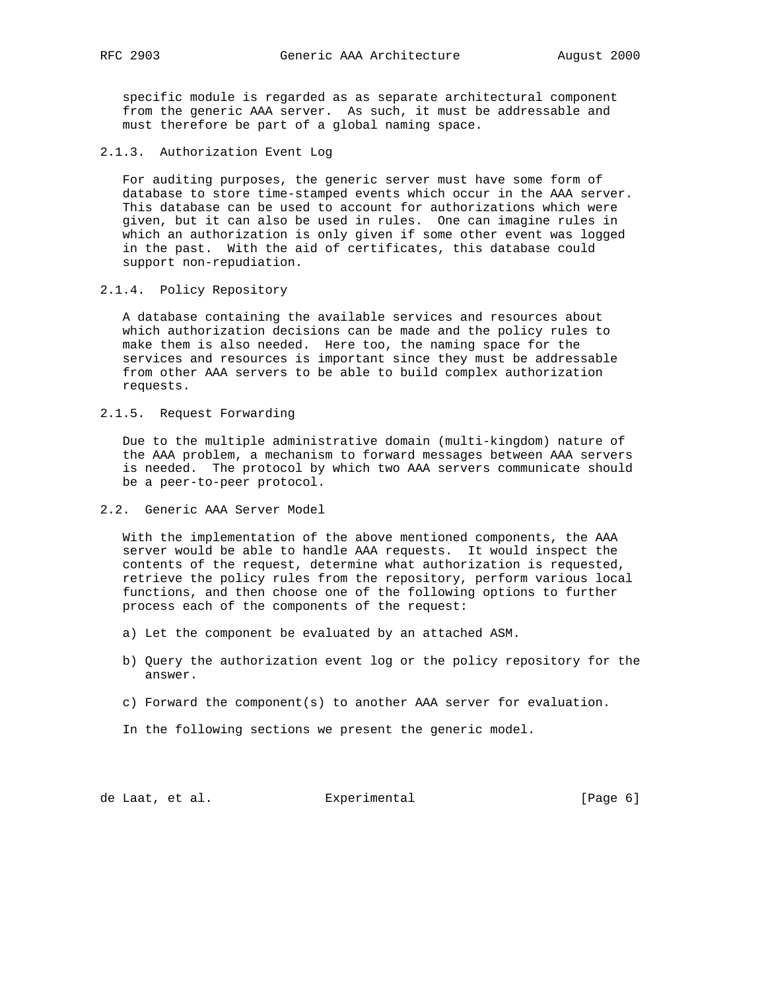specific module is regarded as as separate architectural component from the generic AAA server. As such, it must be addressable and must therefore be part of a global naming space.

2.1.3. Authorization Event Log

 For auditing purposes, the generic server must have some form of database to store time-stamped events which occur in the AAA server. This database can be used to account for authorizations which were given, but it can also be used in rules. One can imagine rules in which an authorization is only given if some other event was logged in the past. With the aid of certificates, this database could support non-repudiation.

2.1.4. Policy Repository

 A database containing the available services and resources about which authorization decisions can be made and the policy rules to make them is also needed. Here too, the naming space for the services and resources is important since they must be addressable from other AAA servers to be able to build complex authorization requests.

2.1.5. Request Forwarding

 Due to the multiple administrative domain (multi-kingdom) nature of the AAA problem, a mechanism to forward messages between AAA servers is needed. The protocol by which two AAA servers communicate should be a peer-to-peer protocol.

2.2. Generic AAA Server Model

 With the implementation of the above mentioned components, the AAA server would be able to handle AAA requests. It would inspect the contents of the request, determine what authorization is requested, retrieve the policy rules from the repository, perform various local functions, and then choose one of the following options to further process each of the components of the request:

- a) Let the component be evaluated by an attached ASM.
- b) Query the authorization event log or the policy repository for the answer.
- c) Forward the component(s) to another AAA server for evaluation.
- In the following sections we present the generic model.

de Laat, et al. Experimental [Page 6]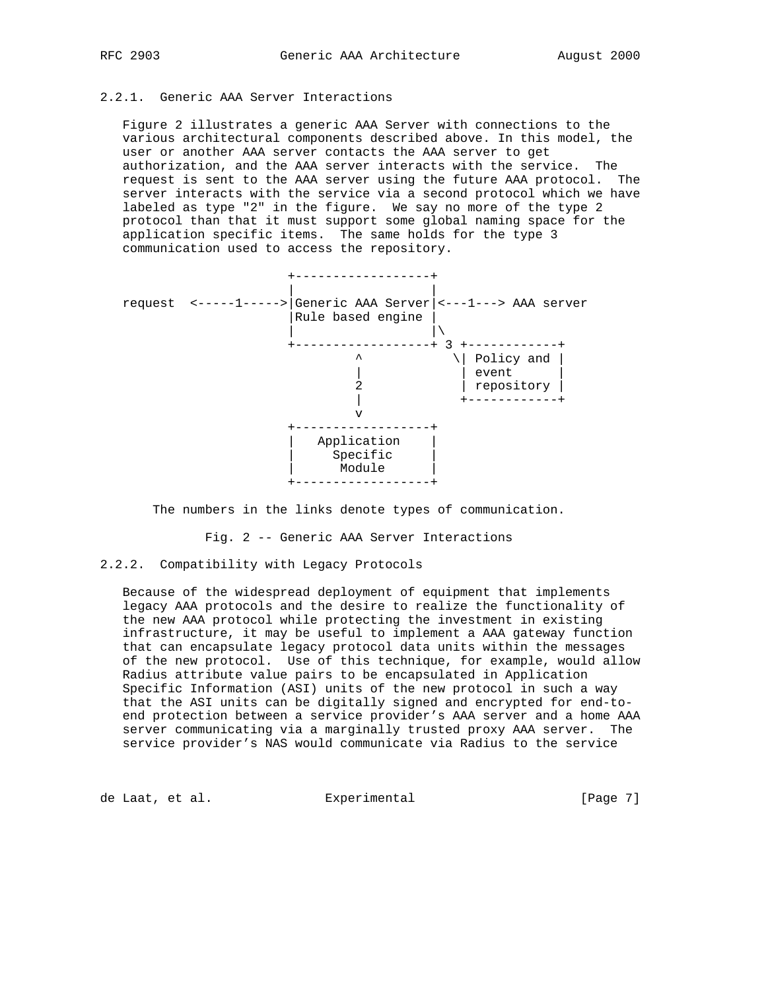# 2.2.1. Generic AAA Server Interactions

 Figure 2 illustrates a generic AAA Server with connections to the various architectural components described above. In this model, the user or another AAA server contacts the AAA server to get authorization, and the AAA server interacts with the service. The request is sent to the AAA server using the future AAA protocol. The server interacts with the service via a second protocol which we have labeled as type "2" in the figure. We say no more of the type 2 protocol than that it must support some global naming space for the application specific items. The same holds for the type 3 communication used to access the repository.



The numbers in the links denote types of communication.

Fig. 2 -- Generic AAA Server Interactions

## 2.2.2. Compatibility with Legacy Protocols

 Because of the widespread deployment of equipment that implements legacy AAA protocols and the desire to realize the functionality of the new AAA protocol while protecting the investment in existing infrastructure, it may be useful to implement a AAA gateway function that can encapsulate legacy protocol data units within the messages of the new protocol. Use of this technique, for example, would allow Radius attribute value pairs to be encapsulated in Application Specific Information (ASI) units of the new protocol in such a way that the ASI units can be digitally signed and encrypted for end-to end protection between a service provider's AAA server and a home AAA server communicating via a marginally trusted proxy AAA server. The service provider's NAS would communicate via Radius to the service

de Laat, et al. Experimental [Page 7]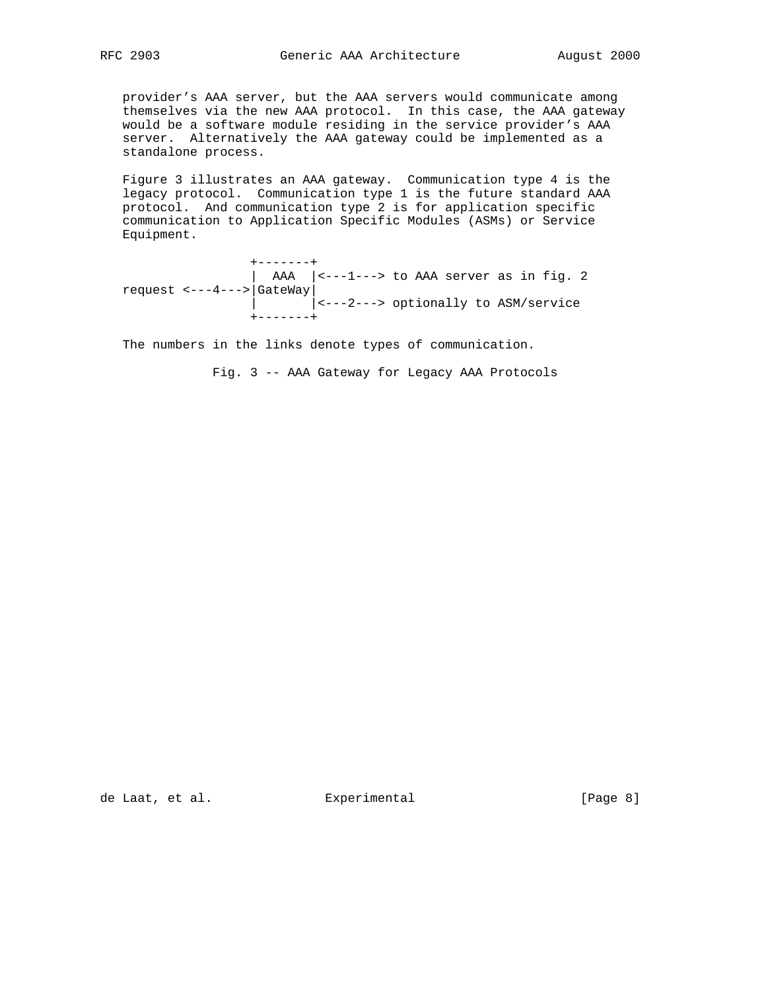provider's AAA server, but the AAA servers would communicate among themselves via the new AAA protocol. In this case, the AAA gateway would be a software module residing in the service provider's AAA server. Alternatively the AAA gateway could be implemented as a standalone process.

 Figure 3 illustrates an AAA gateway. Communication type 4 is the legacy protocol. Communication type 1 is the future standard AAA protocol. And communication type 2 is for application specific communication to Application Specific Modules (ASMs) or Service Equipment.

 +-------+  $\vert$  AAA  $\vert$  <---1---> to AAA server as in fig. 2 request <---4--->|GateWay| | |<---2---> optionally to ASM/service +-------+

The numbers in the links denote types of communication.

Fig. 3 -- AAA Gateway for Legacy AAA Protocols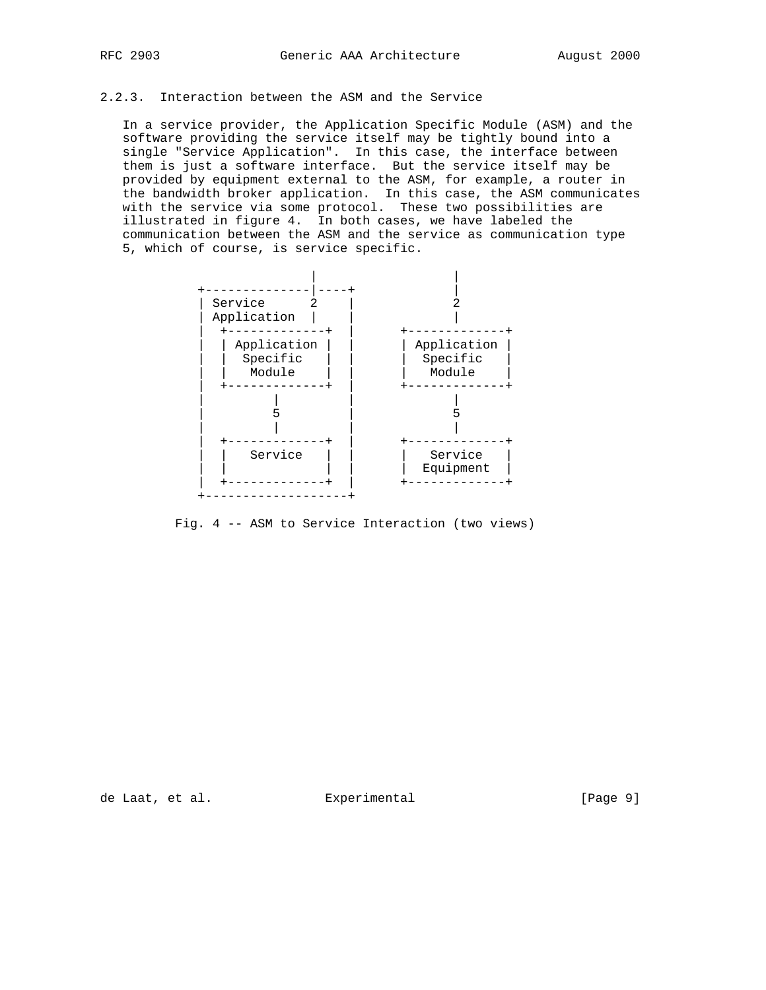# 2.2.3. Interaction between the ASM and the Service

 In a service provider, the Application Specific Module (ASM) and the software providing the service itself may be tightly bound into a single "Service Application". In this case, the interface between them is just a software interface. But the service itself may be provided by equipment external to the ASM, for example, a router in the bandwidth broker application. In this case, the ASM communicates with the service via some protocol. These two possibilities are illustrated in figure 4. In both cases, we have labeled the communication between the ASM and the service as communication type 5, which of course, is service specific.



Fig. 4 -- ASM to Service Interaction (two views)

de Laat, et al. Experimental [Page 9]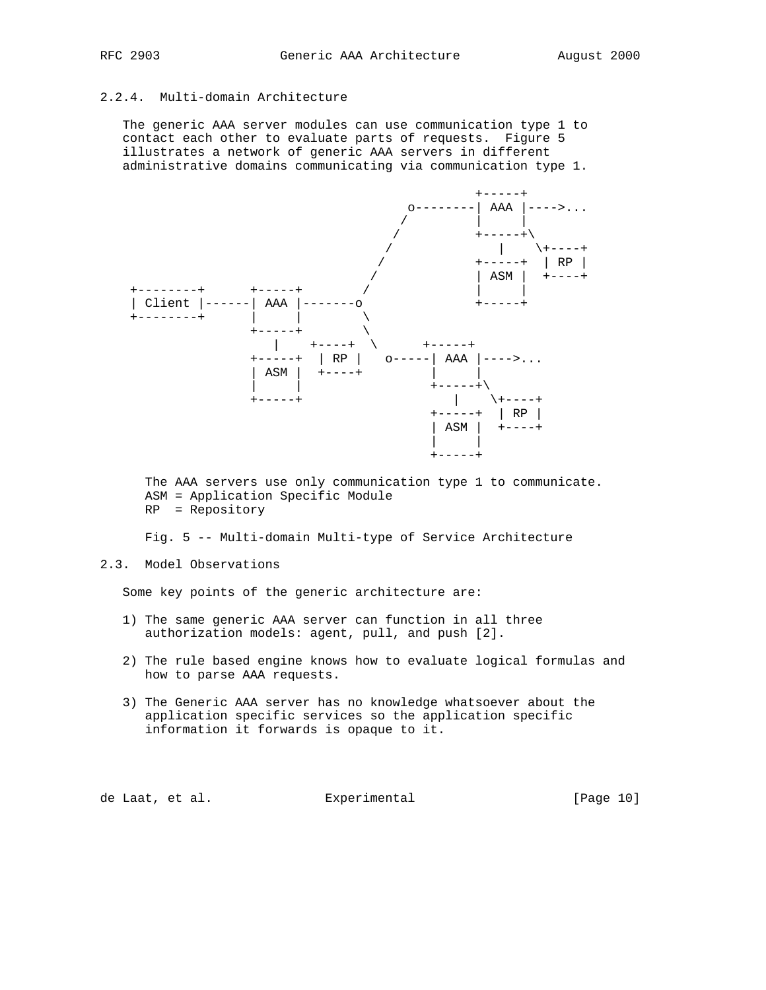# 2.2.4. Multi-domain Architecture

 The generic AAA server modules can use communication type 1 to contact each other to evaluate parts of requests. Figure 5 illustrates a network of generic AAA servers in different administrative domains communicating via communication type 1.



 The AAA servers use only communication type 1 to communicate. ASM = Application Specific Module RP = Repository

Fig. 5 -- Multi-domain Multi-type of Service Architecture

# 2.3. Model Observations

Some key points of the generic architecture are:

- 1) The same generic AAA server can function in all three authorization models: agent, pull, and push [2].
- 2) The rule based engine knows how to evaluate logical formulas and how to parse AAA requests.
- 3) The Generic AAA server has no knowledge whatsoever about the application specific services so the application specific information it forwards is opaque to it.

de Laat, et al. **Experimental** (Page 10)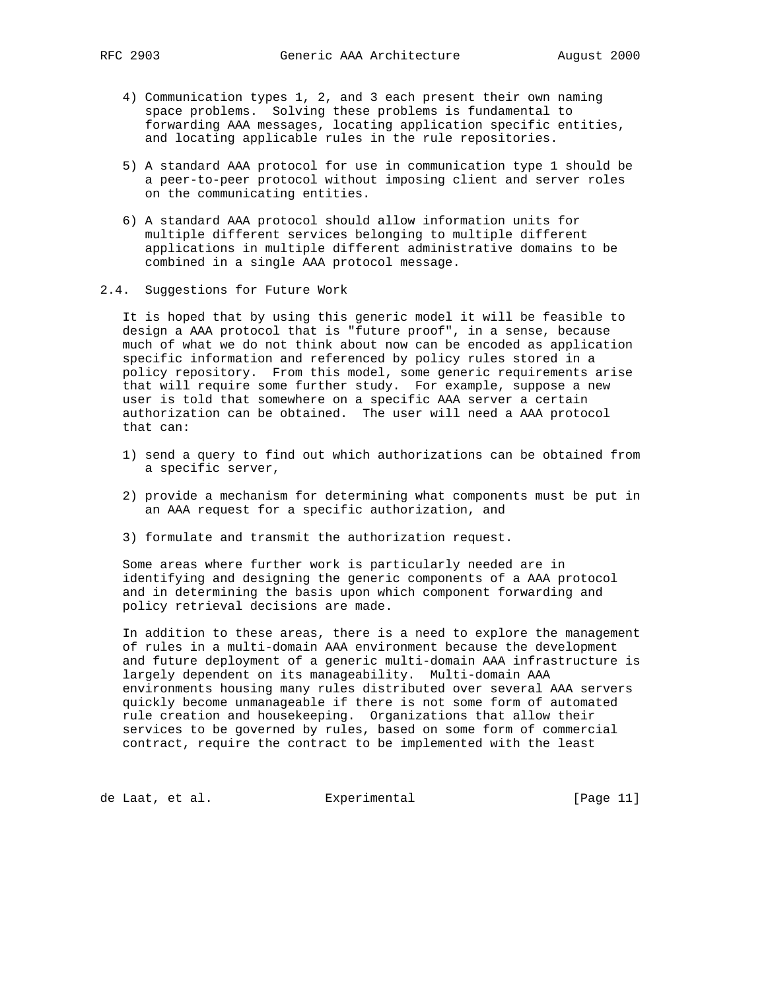- 4) Communication types 1, 2, and 3 each present their own naming space problems. Solving these problems is fundamental to forwarding AAA messages, locating application specific entities, and locating applicable rules in the rule repositories.
- 5) A standard AAA protocol for use in communication type 1 should be a peer-to-peer protocol without imposing client and server roles on the communicating entities.
- 6) A standard AAA protocol should allow information units for multiple different services belonging to multiple different applications in multiple different administrative domains to be combined in a single AAA protocol message.
- 2.4. Suggestions for Future Work

 It is hoped that by using this generic model it will be feasible to design a AAA protocol that is "future proof", in a sense, because much of what we do not think about now can be encoded as application specific information and referenced by policy rules stored in a policy repository. From this model, some generic requirements arise that will require some further study. For example, suppose a new user is told that somewhere on a specific AAA server a certain authorization can be obtained. The user will need a AAA protocol that can:

- 1) send a query to find out which authorizations can be obtained from a specific server,
- 2) provide a mechanism for determining what components must be put in an AAA request for a specific authorization, and
- 3) formulate and transmit the authorization request.

 Some areas where further work is particularly needed are in identifying and designing the generic components of a AAA protocol and in determining the basis upon which component forwarding and policy retrieval decisions are made.

 In addition to these areas, there is a need to explore the management of rules in a multi-domain AAA environment because the development and future deployment of a generic multi-domain AAA infrastructure is largely dependent on its manageability. Multi-domain AAA environments housing many rules distributed over several AAA servers quickly become unmanageable if there is not some form of automated rule creation and housekeeping. Organizations that allow their services to be governed by rules, based on some form of commercial contract, require the contract to be implemented with the least

de Laat, et al. Experimental [Page 11]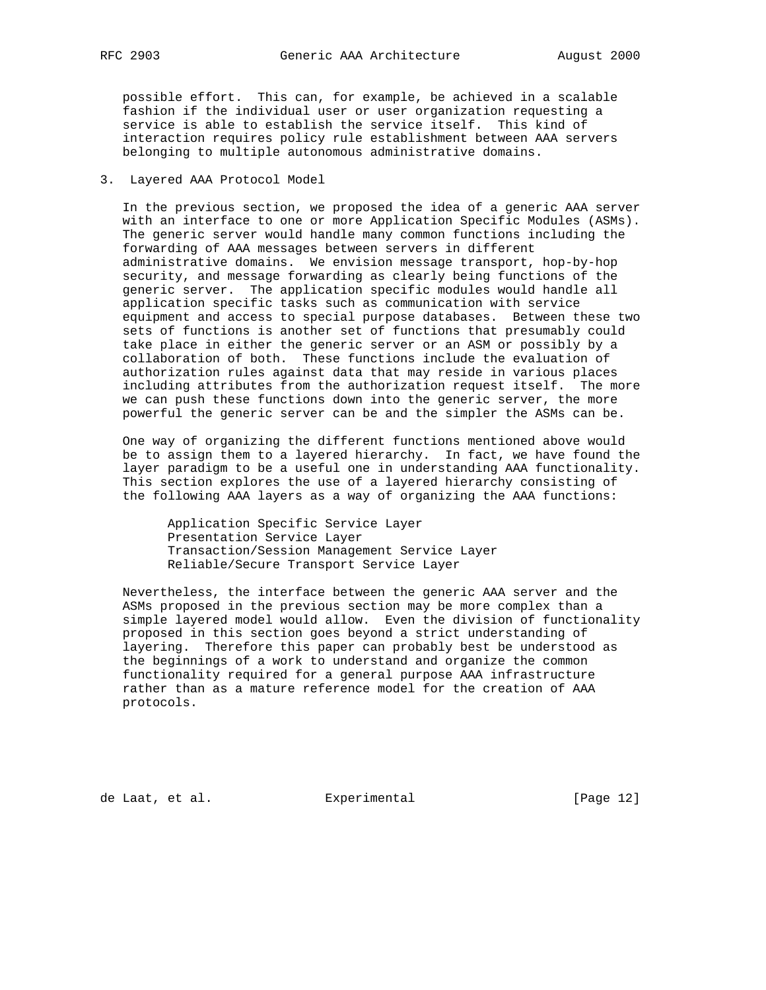possible effort. This can, for example, be achieved in a scalable fashion if the individual user or user organization requesting a service is able to establish the service itself. This kind of interaction requires policy rule establishment between AAA servers belonging to multiple autonomous administrative domains.

## 3. Layered AAA Protocol Model

 In the previous section, we proposed the idea of a generic AAA server with an interface to one or more Application Specific Modules (ASMs). The generic server would handle many common functions including the forwarding of AAA messages between servers in different administrative domains. We envision message transport, hop-by-hop security, and message forwarding as clearly being functions of the generic server. The application specific modules would handle all application specific tasks such as communication with service equipment and access to special purpose databases. Between these two sets of functions is another set of functions that presumably could take place in either the generic server or an ASM or possibly by a collaboration of both. These functions include the evaluation of authorization rules against data that may reside in various places including attributes from the authorization request itself. The more we can push these functions down into the generic server, the more powerful the generic server can be and the simpler the ASMs can be.

 One way of organizing the different functions mentioned above would be to assign them to a layered hierarchy. In fact, we have found the layer paradigm to be a useful one in understanding AAA functionality. This section explores the use of a layered hierarchy consisting of the following AAA layers as a way of organizing the AAA functions:

 Application Specific Service Layer Presentation Service Layer Transaction/Session Management Service Layer Reliable/Secure Transport Service Layer

 Nevertheless, the interface between the generic AAA server and the ASMs proposed in the previous section may be more complex than a simple layered model would allow. Even the division of functionality proposed in this section goes beyond a strict understanding of layering. Therefore this paper can probably best be understood as the beginnings of a work to understand and organize the common functionality required for a general purpose AAA infrastructure rather than as a mature reference model for the creation of AAA protocols.

de Laat, et al. Experimental [Page 12]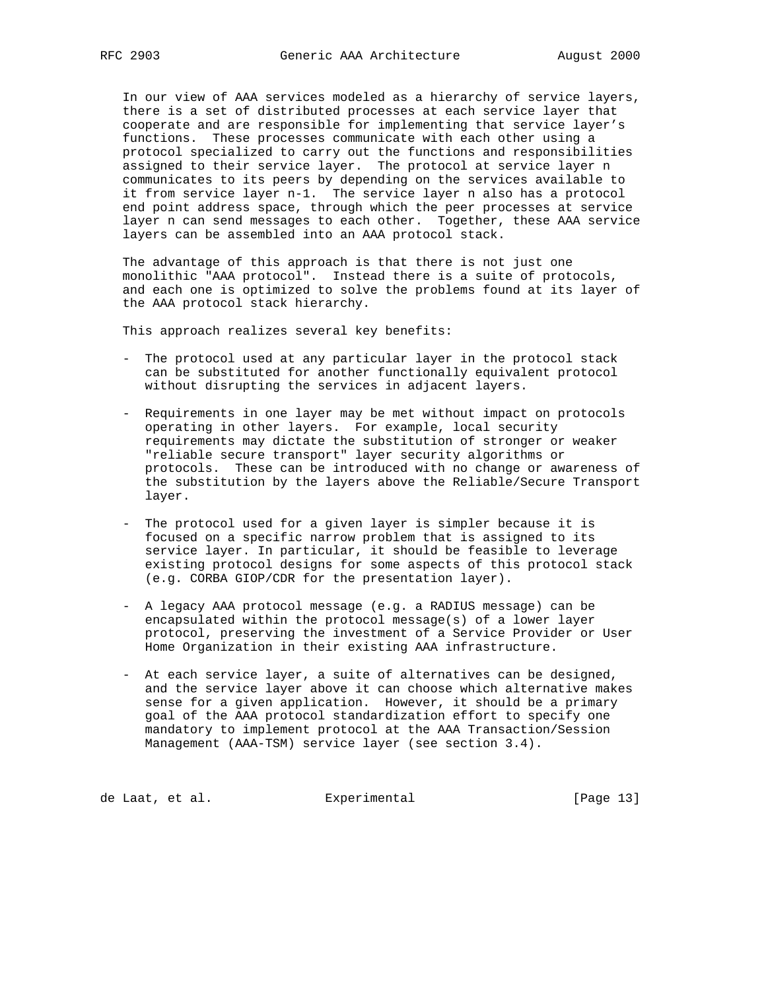In our view of AAA services modeled as a hierarchy of service layers, there is a set of distributed processes at each service layer that cooperate and are responsible for implementing that service layer's functions. These processes communicate with each other using a protocol specialized to carry out the functions and responsibilities assigned to their service layer. The protocol at service layer n communicates to its peers by depending on the services available to it from service layer n-1. The service layer n also has a protocol end point address space, through which the peer processes at service layer n can send messages to each other. Together, these AAA service layers can be assembled into an AAA protocol stack.

 The advantage of this approach is that there is not just one monolithic "AAA protocol". Instead there is a suite of protocols, and each one is optimized to solve the problems found at its layer of the AAA protocol stack hierarchy.

This approach realizes several key benefits:

- The protocol used at any particular layer in the protocol stack can be substituted for another functionally equivalent protocol without disrupting the services in adjacent layers.
- Requirements in one layer may be met without impact on protocols operating in other layers. For example, local security requirements may dictate the substitution of stronger or weaker "reliable secure transport" layer security algorithms or protocols. These can be introduced with no change or awareness of the substitution by the layers above the Reliable/Secure Transport layer.
- The protocol used for a given layer is simpler because it is focused on a specific narrow problem that is assigned to its service layer. In particular, it should be feasible to leverage existing protocol designs for some aspects of this protocol stack (e.g. CORBA GIOP/CDR for the presentation layer).
- A legacy AAA protocol message (e.g. a RADIUS message) can be encapsulated within the protocol message(s) of a lower layer protocol, preserving the investment of a Service Provider or User Home Organization in their existing AAA infrastructure.
- At each service layer, a suite of alternatives can be designed, and the service layer above it can choose which alternative makes sense for a given application. However, it should be a primary goal of the AAA protocol standardization effort to specify one mandatory to implement protocol at the AAA Transaction/Session Management (AAA-TSM) service layer (see section 3.4).

de Laat, et al. Experimental [Page 13]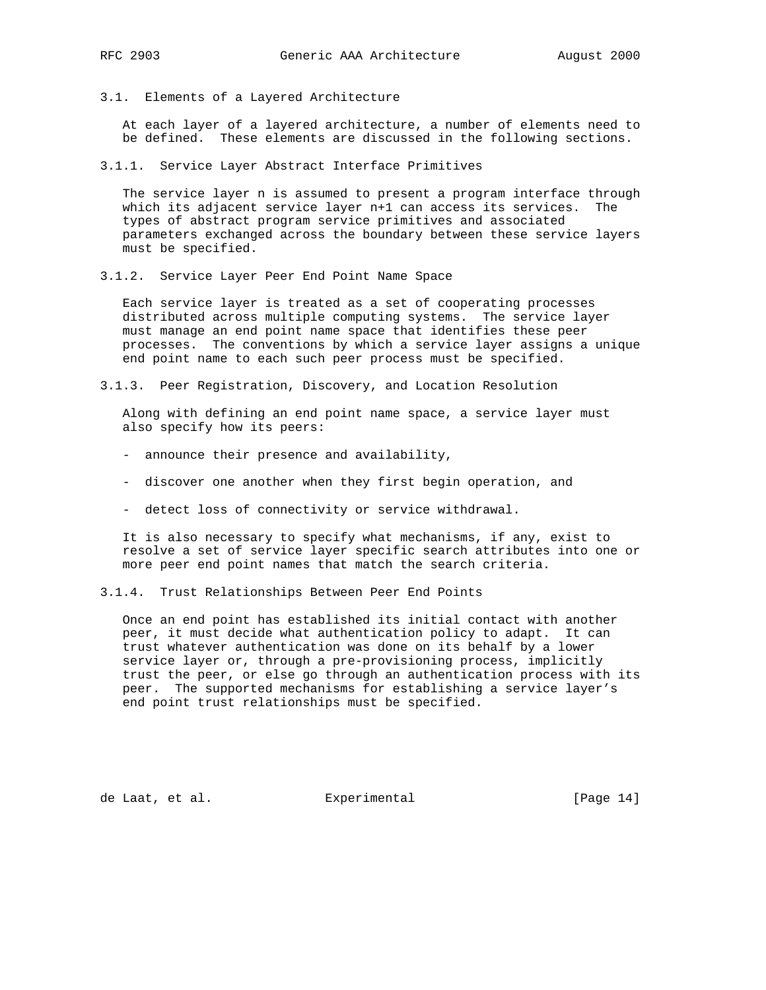3.1. Elements of a Layered Architecture

 At each layer of a layered architecture, a number of elements need to be defined. These elements are discussed in the following sections.

3.1.1. Service Layer Abstract Interface Primitives

 The service layer n is assumed to present a program interface through which its adjacent service layer n+1 can access its services. The types of abstract program service primitives and associated parameters exchanged across the boundary between these service layers must be specified.

3.1.2. Service Layer Peer End Point Name Space

 Each service layer is treated as a set of cooperating processes distributed across multiple computing systems. The service layer must manage an end point name space that identifies these peer processes. The conventions by which a service layer assigns a unique end point name to each such peer process must be specified.

3.1.3. Peer Registration, Discovery, and Location Resolution

 Along with defining an end point name space, a service layer must also specify how its peers:

- announce their presence and availability,
- discover one another when they first begin operation, and
- detect loss of connectivity or service withdrawal.

 It is also necessary to specify what mechanisms, if any, exist to resolve a set of service layer specific search attributes into one or more peer end point names that match the search criteria.

3.1.4. Trust Relationships Between Peer End Points

 Once an end point has established its initial contact with another peer, it must decide what authentication policy to adapt. It can trust whatever authentication was done on its behalf by a lower service layer or, through a pre-provisioning process, implicitly trust the peer, or else go through an authentication process with its peer. The supported mechanisms for establishing a service layer's end point trust relationships must be specified.

de Laat, et al. Experimental [Page 14]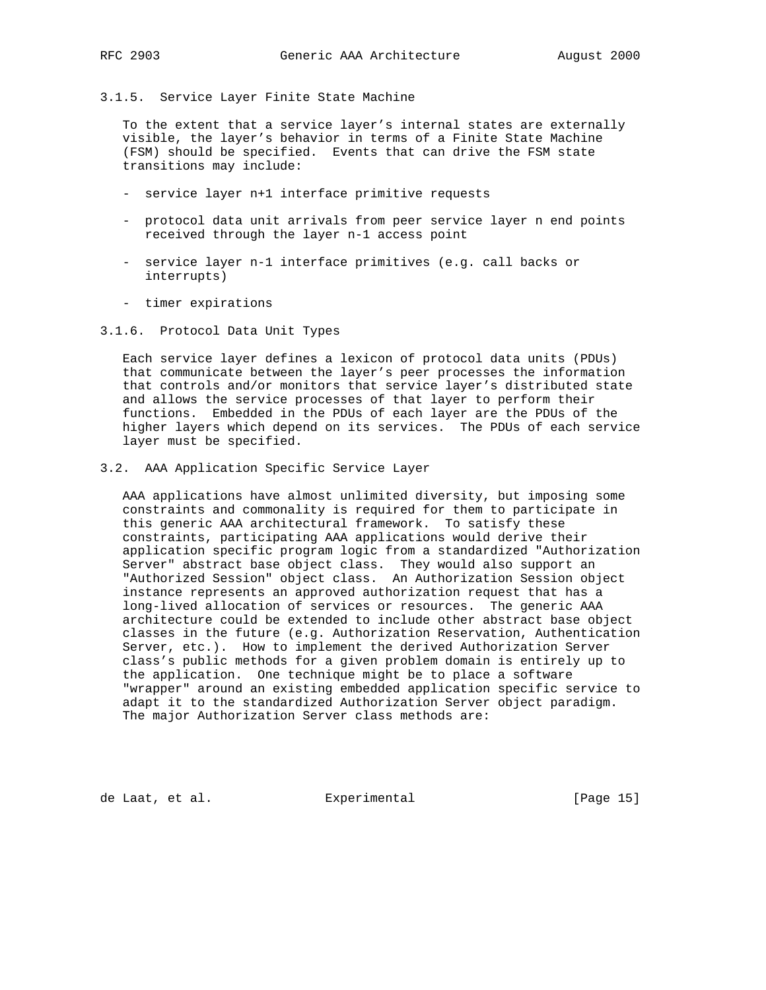3.1.5. Service Layer Finite State Machine

 To the extent that a service layer's internal states are externally visible, the layer's behavior in terms of a Finite State Machine (FSM) should be specified. Events that can drive the FSM state transitions may include:

- service layer n+1 interface primitive requests
- protocol data unit arrivals from peer service layer n end points received through the layer n-1 access point
- service layer n-1 interface primitives (e.g. call backs or interrupts)
- timer expirations
- 3.1.6. Protocol Data Unit Types

 Each service layer defines a lexicon of protocol data units (PDUs) that communicate between the layer's peer processes the information that controls and/or monitors that service layer's distributed state and allows the service processes of that layer to perform their functions. Embedded in the PDUs of each layer are the PDUs of the higher layers which depend on its services. The PDUs of each service layer must be specified.

3.2. AAA Application Specific Service Layer

 AAA applications have almost unlimited diversity, but imposing some constraints and commonality is required for them to participate in this generic AAA architectural framework. To satisfy these constraints, participating AAA applications would derive their application specific program logic from a standardized "Authorization Server" abstract base object class. They would also support an "Authorized Session" object class. An Authorization Session object instance represents an approved authorization request that has a long-lived allocation of services or resources. The generic AAA architecture could be extended to include other abstract base object classes in the future (e.g. Authorization Reservation, Authentication Server, etc.). How to implement the derived Authorization Server class's public methods for a given problem domain is entirely up to the application. One technique might be to place a software "wrapper" around an existing embedded application specific service to adapt it to the standardized Authorization Server object paradigm. The major Authorization Server class methods are:

de Laat, et al. Experimental [Page 15]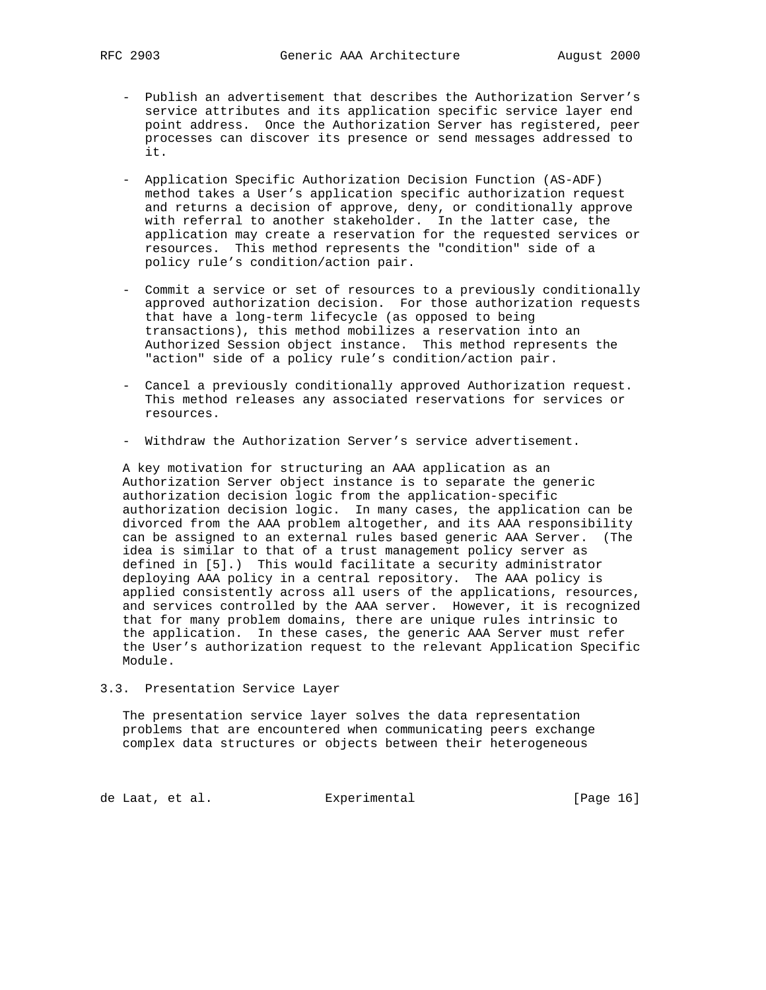- Publish an advertisement that describes the Authorization Server's service attributes and its application specific service layer end point address. Once the Authorization Server has registered, peer processes can discover its presence or send messages addressed to it.
- Application Specific Authorization Decision Function (AS-ADF) method takes a User's application specific authorization request and returns a decision of approve, deny, or conditionally approve with referral to another stakeholder. In the latter case, the application may create a reservation for the requested services or resources. This method represents the "condition" side of a policy rule's condition/action pair.
- Commit a service or set of resources to a previously conditionally approved authorization decision. For those authorization requests that have a long-term lifecycle (as opposed to being transactions), this method mobilizes a reservation into an Authorized Session object instance. This method represents the "action" side of a policy rule's condition/action pair.
- Cancel a previously conditionally approved Authorization request. This method releases any associated reservations for services or resources.
- Withdraw the Authorization Server's service advertisement.

 A key motivation for structuring an AAA application as an Authorization Server object instance is to separate the generic authorization decision logic from the application-specific authorization decision logic. In many cases, the application can be divorced from the AAA problem altogether, and its AAA responsibility can be assigned to an external rules based generic AAA Server. (The idea is similar to that of a trust management policy server as defined in [5].) This would facilitate a security administrator deploying AAA policy in a central repository. The AAA policy is applied consistently across all users of the applications, resources, and services controlled by the AAA server. However, it is recognized that for many problem domains, there are unique rules intrinsic to the application. In these cases, the generic AAA Server must refer the User's authorization request to the relevant Application Specific Module.

#### 3.3. Presentation Service Layer

 The presentation service layer solves the data representation problems that are encountered when communicating peers exchange complex data structures or objects between their heterogeneous

de Laat, et al. Experimental [Page 16]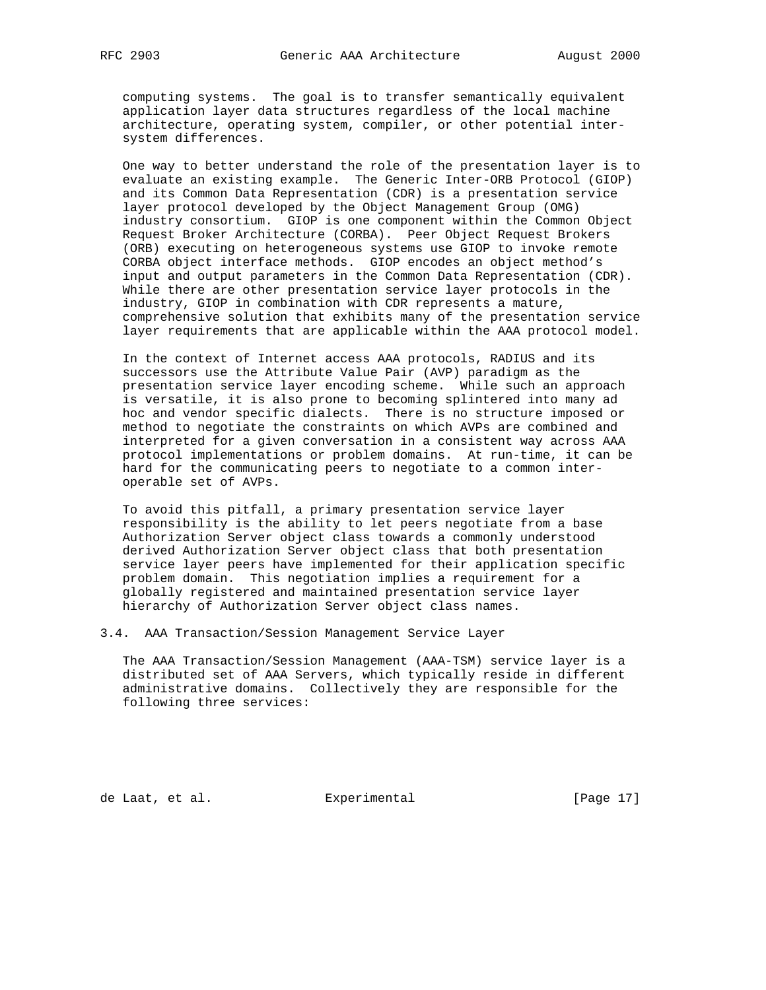computing systems. The goal is to transfer semantically equivalent application layer data structures regardless of the local machine architecture, operating system, compiler, or other potential inter system differences.

 One way to better understand the role of the presentation layer is to evaluate an existing example. The Generic Inter-ORB Protocol (GIOP) and its Common Data Representation (CDR) is a presentation service layer protocol developed by the Object Management Group (OMG) industry consortium. GIOP is one component within the Common Object Request Broker Architecture (CORBA). Peer Object Request Brokers (ORB) executing on heterogeneous systems use GIOP to invoke remote CORBA object interface methods. GIOP encodes an object method's input and output parameters in the Common Data Representation (CDR). While there are other presentation service layer protocols in the industry, GIOP in combination with CDR represents a mature, comprehensive solution that exhibits many of the presentation service layer requirements that are applicable within the AAA protocol model.

 In the context of Internet access AAA protocols, RADIUS and its successors use the Attribute Value Pair (AVP) paradigm as the presentation service layer encoding scheme. While such an approach is versatile, it is also prone to becoming splintered into many ad hoc and vendor specific dialects. There is no structure imposed or method to negotiate the constraints on which AVPs are combined and interpreted for a given conversation in a consistent way across AAA protocol implementations or problem domains. At run-time, it can be hard for the communicating peers to negotiate to a common inter operable set of AVPs.

 To avoid this pitfall, a primary presentation service layer responsibility is the ability to let peers negotiate from a base Authorization Server object class towards a commonly understood derived Authorization Server object class that both presentation service layer peers have implemented for their application specific problem domain. This negotiation implies a requirement for a globally registered and maintained presentation service layer hierarchy of Authorization Server object class names.

3.4. AAA Transaction/Session Management Service Layer

 The AAA Transaction/Session Management (AAA-TSM) service layer is a distributed set of AAA Servers, which typically reside in different administrative domains. Collectively they are responsible for the following three services:

de Laat, et al. Experimental [Page 17]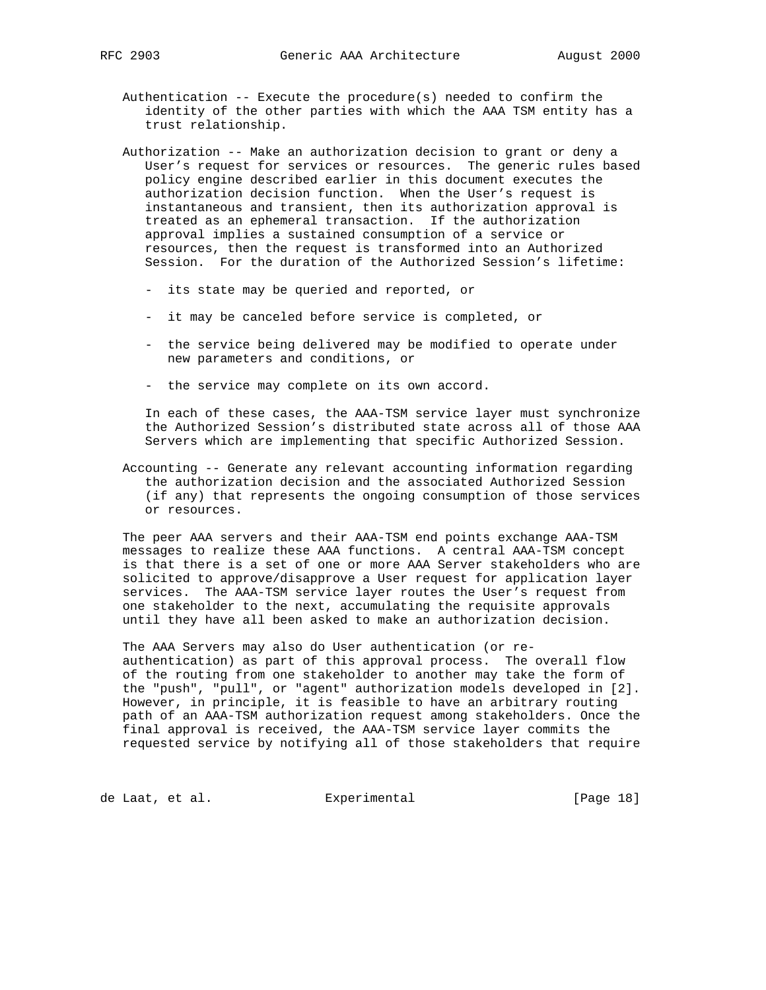- Authentication  $--$  Execute the procedure(s) needed to confirm the identity of the other parties with which the AAA TSM entity has a trust relationship.
- Authorization -- Make an authorization decision to grant or deny a User's request for services or resources. The generic rules based policy engine described earlier in this document executes the authorization decision function. When the User's request is instantaneous and transient, then its authorization approval is treated as an ephemeral transaction. If the authorization approval implies a sustained consumption of a service or resources, then the request is transformed into an Authorized Session. For the duration of the Authorized Session's lifetime:
	- its state may be queried and reported, or
	- it may be canceled before service is completed, or
	- the service being delivered may be modified to operate under new parameters and conditions, or
	- the service may complete on its own accord.

 In each of these cases, the AAA-TSM service layer must synchronize the Authorized Session's distributed state across all of those AAA Servers which are implementing that specific Authorized Session.

 Accounting -- Generate any relevant accounting information regarding the authorization decision and the associated Authorized Session (if any) that represents the ongoing consumption of those services or resources.

 The peer AAA servers and their AAA-TSM end points exchange AAA-TSM messages to realize these AAA functions. A central AAA-TSM concept is that there is a set of one or more AAA Server stakeholders who are solicited to approve/disapprove a User request for application layer services. The AAA-TSM service layer routes the User's request from one stakeholder to the next, accumulating the requisite approvals until they have all been asked to make an authorization decision.

 The AAA Servers may also do User authentication (or re authentication) as part of this approval process. The overall flow of the routing from one stakeholder to another may take the form of the "push", "pull", or "agent" authorization models developed in [2]. However, in principle, it is feasible to have an arbitrary routing path of an AAA-TSM authorization request among stakeholders. Once the final approval is received, the AAA-TSM service layer commits the requested service by notifying all of those stakeholders that require

de Laat, et al. Experimental [Page 18]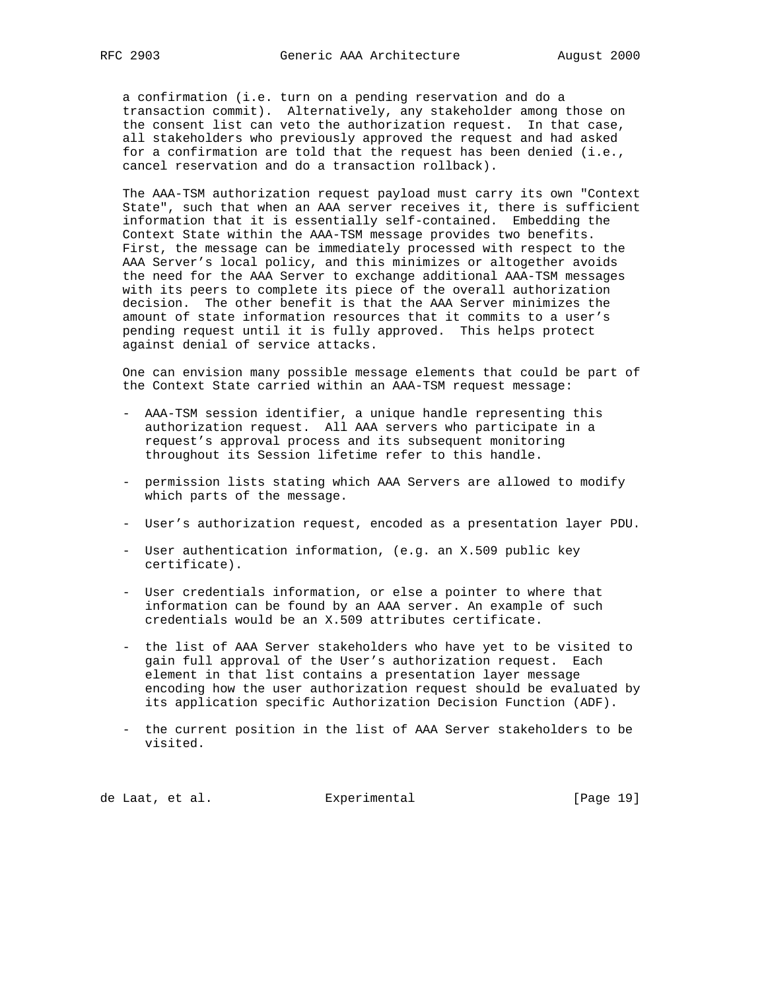a confirmation (i.e. turn on a pending reservation and do a transaction commit). Alternatively, any stakeholder among those on the consent list can veto the authorization request. In that case, all stakeholders who previously approved the request and had asked for a confirmation are told that the request has been denied (i.e., cancel reservation and do a transaction rollback).

 The AAA-TSM authorization request payload must carry its own "Context State", such that when an AAA server receives it, there is sufficient information that it is essentially self-contained. Embedding the Context State within the AAA-TSM message provides two benefits. First, the message can be immediately processed with respect to the AAA Server's local policy, and this minimizes or altogether avoids the need for the AAA Server to exchange additional AAA-TSM messages with its peers to complete its piece of the overall authorization decision. The other benefit is that the AAA Server minimizes the amount of state information resources that it commits to a user's pending request until it is fully approved. This helps protect against denial of service attacks.

 One can envision many possible message elements that could be part of the Context State carried within an AAA-TSM request message:

- AAA-TSM session identifier, a unique handle representing this authorization request. All AAA servers who participate in a request's approval process and its subsequent monitoring throughout its Session lifetime refer to this handle.
- permission lists stating which AAA Servers are allowed to modify which parts of the message.
- User's authorization request, encoded as a presentation layer PDU.
- User authentication information, (e.g. an X.509 public key certificate).
- User credentials information, or else a pointer to where that information can be found by an AAA server. An example of such credentials would be an X.509 attributes certificate.
- the list of AAA Server stakeholders who have yet to be visited to gain full approval of the User's authorization request. Each element in that list contains a presentation layer message encoding how the user authorization request should be evaluated by its application specific Authorization Decision Function (ADF).
- the current position in the list of AAA Server stakeholders to be visited.

de Laat, et al. Experimental [Page 19]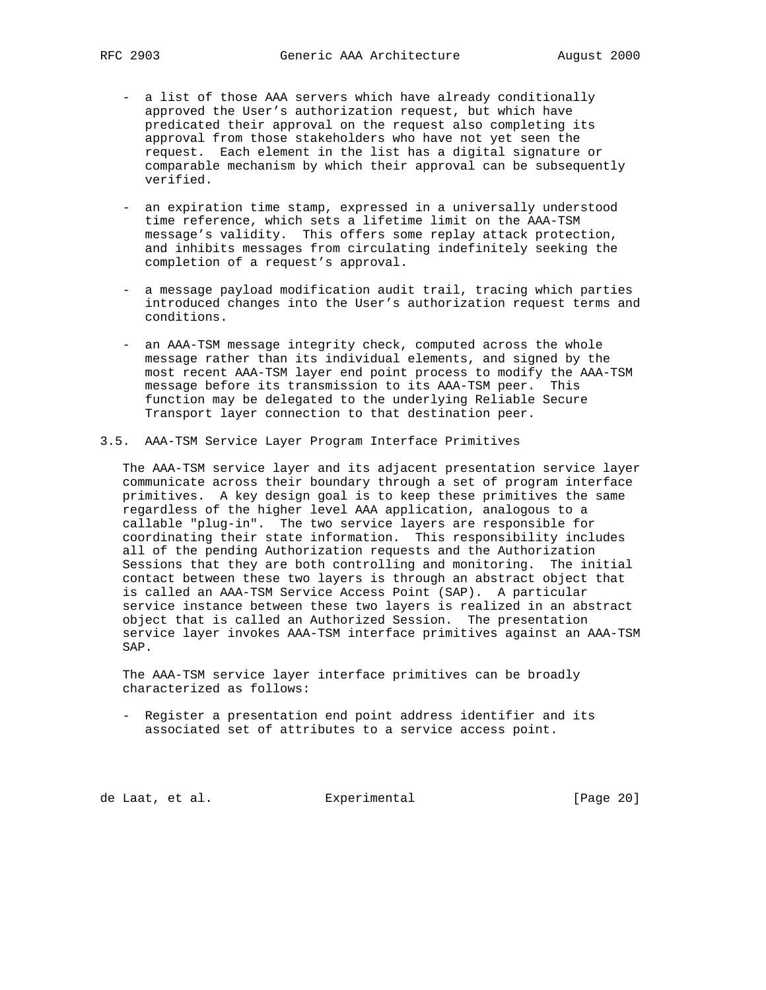- a list of those AAA servers which have already conditionally approved the User's authorization request, but which have predicated their approval on the request also completing its approval from those stakeholders who have not yet seen the request. Each element in the list has a digital signature or comparable mechanism by which their approval can be subsequently verified.
- an expiration time stamp, expressed in a universally understood time reference, which sets a lifetime limit on the AAA-TSM message's validity. This offers some replay attack protection, and inhibits messages from circulating indefinitely seeking the completion of a request's approval.
- a message payload modification audit trail, tracing which parties introduced changes into the User's authorization request terms and conditions.
- an AAA-TSM message integrity check, computed across the whole message rather than its individual elements, and signed by the most recent AAA-TSM layer end point process to modify the AAA-TSM message before its transmission to its AAA-TSM peer. This function may be delegated to the underlying Reliable Secure Transport layer connection to that destination peer.
- 3.5. AAA-TSM Service Layer Program Interface Primitives

 The AAA-TSM service layer and its adjacent presentation service layer communicate across their boundary through a set of program interface primitives. A key design goal is to keep these primitives the same regardless of the higher level AAA application, analogous to a callable "plug-in". The two service layers are responsible for coordinating their state information. This responsibility includes all of the pending Authorization requests and the Authorization Sessions that they are both controlling and monitoring. The initial contact between these two layers is through an abstract object that is called an AAA-TSM Service Access Point (SAP). A particular service instance between these two layers is realized in an abstract object that is called an Authorized Session. The presentation service layer invokes AAA-TSM interface primitives against an AAA-TSM SAP.

 The AAA-TSM service layer interface primitives can be broadly characterized as follows:

 - Register a presentation end point address identifier and its associated set of attributes to a service access point.

de Laat, et al. Experimental [Page 20]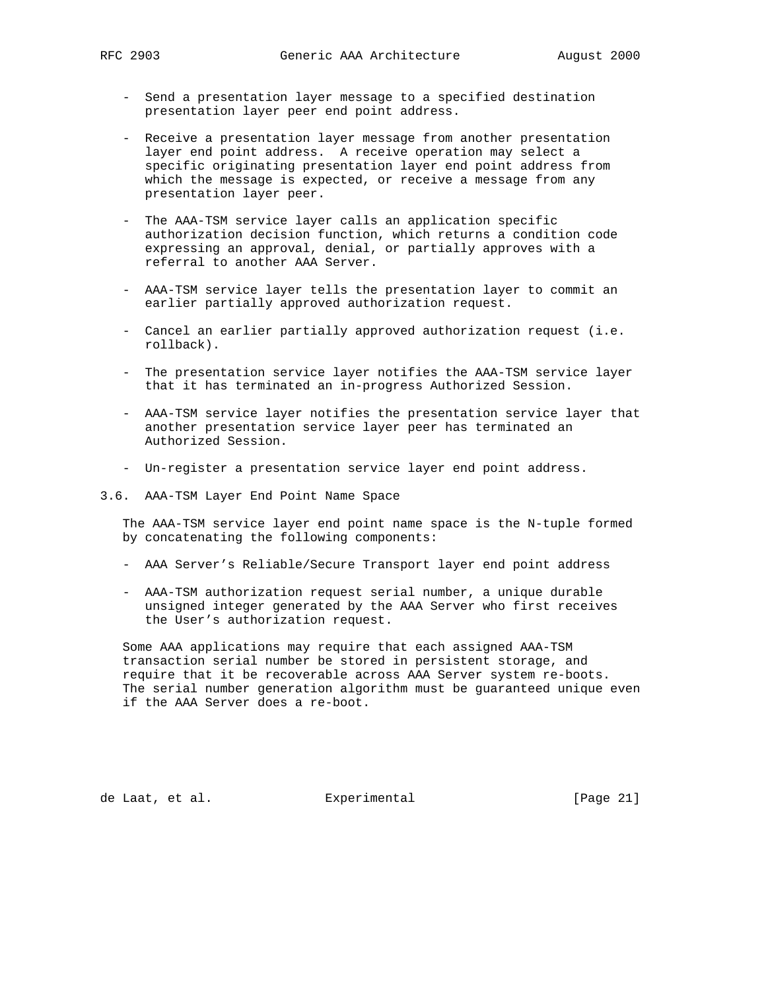- Send a presentation layer message to a specified destination presentation layer peer end point address.
- Receive a presentation layer message from another presentation layer end point address. A receive operation may select a specific originating presentation layer end point address from which the message is expected, or receive a message from any presentation layer peer.
- The AAA-TSM service layer calls an application specific authorization decision function, which returns a condition code expressing an approval, denial, or partially approves with a referral to another AAA Server.
- AAA-TSM service layer tells the presentation layer to commit an earlier partially approved authorization request.
- Cancel an earlier partially approved authorization request (i.e. rollback).
- The presentation service layer notifies the AAA-TSM service layer that it has terminated an in-progress Authorized Session.
- AAA-TSM service layer notifies the presentation service layer that another presentation service layer peer has terminated an Authorized Session.
- Un-register a presentation service layer end point address.
- 3.6. AAA-TSM Layer End Point Name Space

 The AAA-TSM service layer end point name space is the N-tuple formed by concatenating the following components:

- AAA Server's Reliable/Secure Transport layer end point address
- AAA-TSM authorization request serial number, a unique durable unsigned integer generated by the AAA Server who first receives the User's authorization request.

 Some AAA applications may require that each assigned AAA-TSM transaction serial number be stored in persistent storage, and require that it be recoverable across AAA Server system re-boots. The serial number generation algorithm must be guaranteed unique even if the AAA Server does a re-boot.

de Laat, et al. Experimental [Page 21]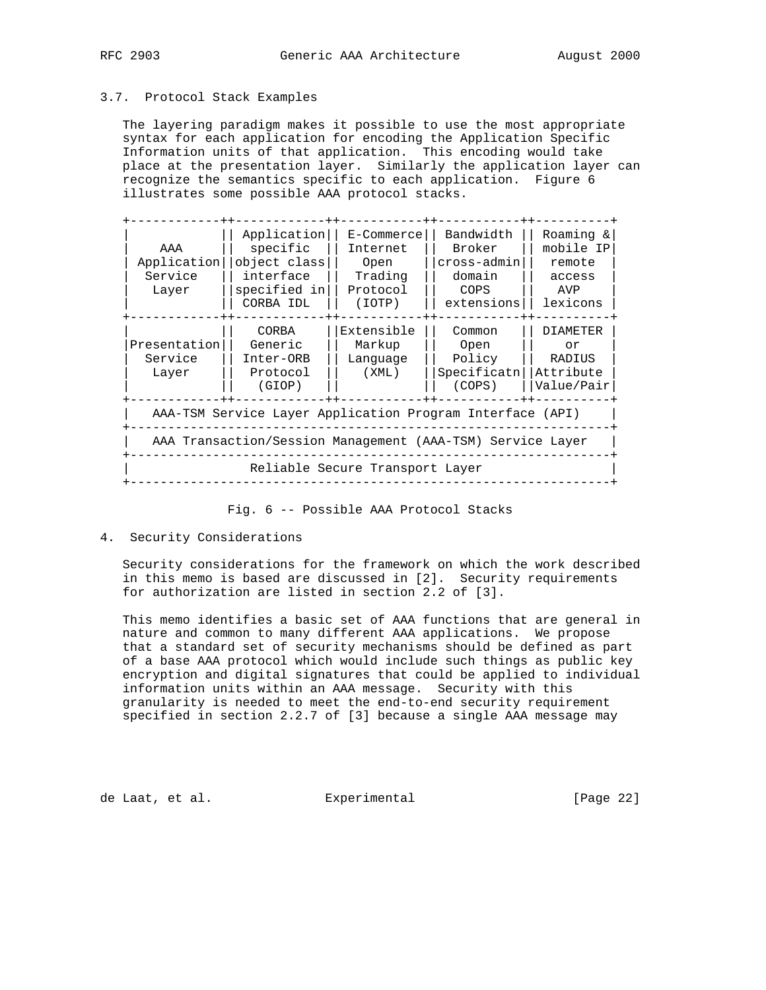## 3.7. Protocol Stack Examples

 The layering paradigm makes it possible to use the most appropriate syntax for each application for encoding the Application Specific Information units of that application. This encoding would take place at the presentation layer. Similarly the application layer can recognize the semantics specific to each application. Figure 6 illustrates some possible AAA protocol stacks.

| AAA<br>Application<br>Service<br>Layer                     | Application<br>specific<br>object class<br>interface<br>specified in<br>CORBA IDL | $E$ -Commerce<br>Internet<br>Open<br>Trading<br>Protocol<br>(IOTP) | Bandwidth<br>Broker<br>cross-admin<br>domain<br>COPS<br>extensions | Roaming &<br>mobile IP<br>remote<br>access<br>AVP<br>lexicons |  |  |  |  |  |
|------------------------------------------------------------|-----------------------------------------------------------------------------------|--------------------------------------------------------------------|--------------------------------------------------------------------|---------------------------------------------------------------|--|--|--|--|--|
| Presentation<br>Service<br>Layer                           | CORBA<br>Generic<br>Inter-ORB<br>Protocol<br>(GIOP)                               | Extensible<br>Markup<br>Lanquage<br>(XML)                          | Common<br>Open<br>Policy<br>Specificatn<br>(COPS)                  | <b>DIAMETER</b><br>or<br>RADIUS<br>Attribute<br>Value/Pair    |  |  |  |  |  |
|                                                            | AAA-TSM Service Layer Application Program Interface (API)                         |                                                                    |                                                                    |                                                               |  |  |  |  |  |
| AAA Transaction/Session Management (AAA-TSM) Service Layer |                                                                                   |                                                                    |                                                                    |                                                               |  |  |  |  |  |
| Reliable Secure Transport Layer                            |                                                                                   |                                                                    |                                                                    |                                                               |  |  |  |  |  |

Fig. 6 -- Possible AAA Protocol Stacks

4. Security Considerations

 Security considerations for the framework on which the work described in this memo is based are discussed in [2]. Security requirements for authorization are listed in section 2.2 of [3].

 This memo identifies a basic set of AAA functions that are general in nature and common to many different AAA applications. We propose that a standard set of security mechanisms should be defined as part of a base AAA protocol which would include such things as public key encryption and digital signatures that could be applied to individual information units within an AAA message. Security with this granularity is needed to meet the end-to-end security requirement specified in section 2.2.7 of [3] because a single AAA message may

de Laat, et al. **Experimental** (Page 22)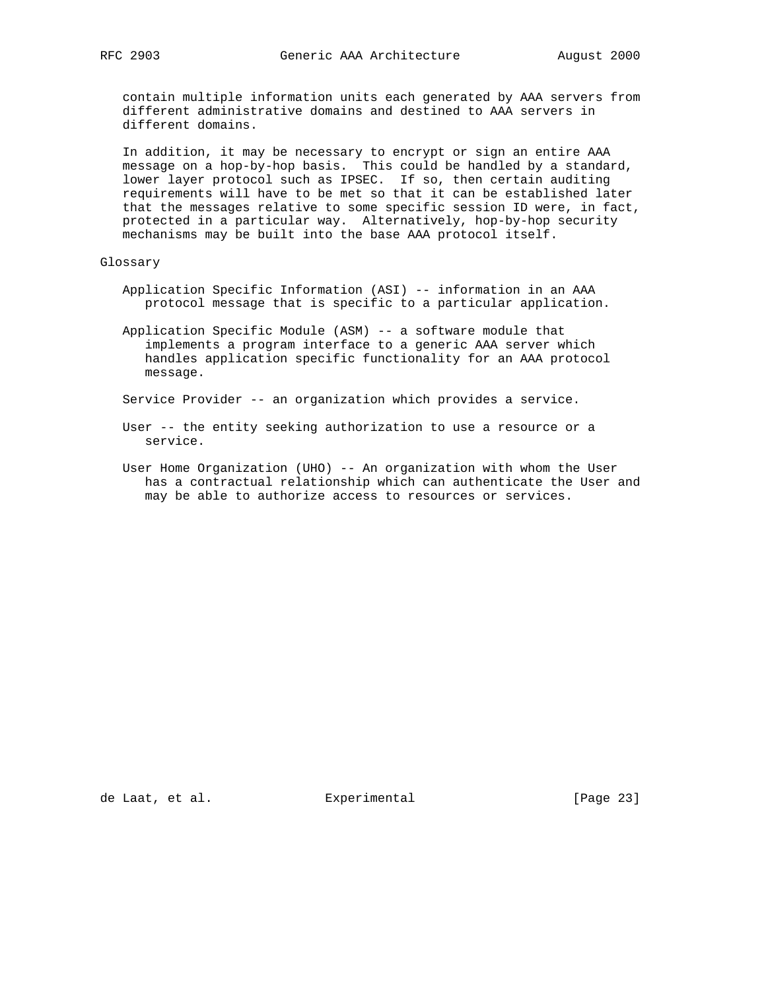contain multiple information units each generated by AAA servers from different administrative domains and destined to AAA servers in different domains.

 In addition, it may be necessary to encrypt or sign an entire AAA message on a hop-by-hop basis. This could be handled by a standard, lower layer protocol such as IPSEC. If so, then certain auditing requirements will have to be met so that it can be established later that the messages relative to some specific session ID were, in fact, protected in a particular way. Alternatively, hop-by-hop security mechanisms may be built into the base AAA protocol itself.

## Glossary

- Application Specific Information (ASI) -- information in an AAA protocol message that is specific to a particular application.
- Application Specific Module (ASM) -- a software module that implements a program interface to a generic AAA server which handles application specific functionality for an AAA protocol message.

Service Provider -- an organization which provides a service.

- User -- the entity seeking authorization to use a resource or a service.
- User Home Organization (UHO) -- An organization with whom the User has a contractual relationship which can authenticate the User and may be able to authorize access to resources or services.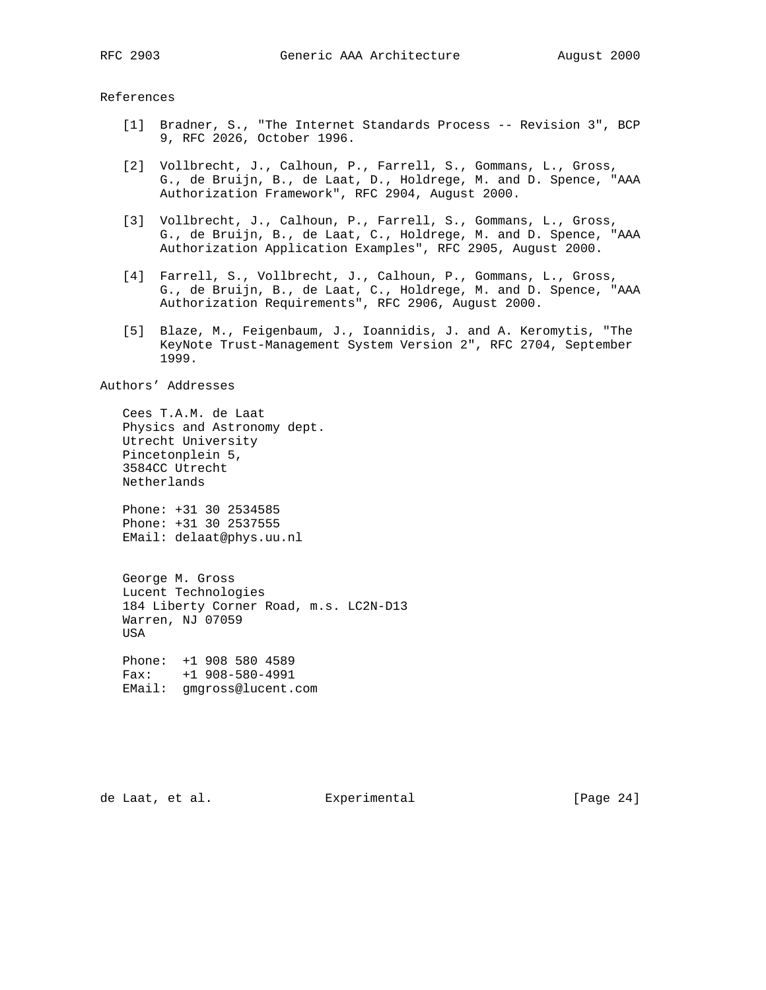References

- [1] Bradner, S., "The Internet Standards Process -- Revision 3", BCP 9, RFC 2026, October 1996.
- [2] Vollbrecht, J., Calhoun, P., Farrell, S., Gommans, L., Gross, G., de Bruijn, B., de Laat, D., Holdrege, M. and D. Spence, "AAA Authorization Framework", RFC 2904, August 2000.
- [3] Vollbrecht, J., Calhoun, P., Farrell, S., Gommans, L., Gross, G., de Bruijn, B., de Laat, C., Holdrege, M. and D. Spence, "AAA Authorization Application Examples", RFC 2905, August 2000.
- [4] Farrell, S., Vollbrecht, J., Calhoun, P., Gommans, L., Gross, G., de Bruijn, B., de Laat, C., Holdrege, M. and D. Spence, "AAA Authorization Requirements", RFC 2906, August 2000.
	- [5] Blaze, M., Feigenbaum, J., Ioannidis, J. and A. Keromytis, "The KeyNote Trust-Management System Version 2", RFC 2704, September 1999.

Authors' Addresses

 Cees T.A.M. de Laat Physics and Astronomy dept. Utrecht University Pincetonplein 5, 3584CC Utrecht Netherlands

 Phone: +31 30 2534585 Phone: +31 30 2537555 EMail: delaat@phys.uu.nl

 George M. Gross Lucent Technologies 184 Liberty Corner Road, m.s. LC2N-D13 Warren, NJ 07059 USA

 Phone: +1 908 580 4589 Fax: +1 908-580-4991 EMail: gmgross@lucent.com

de Laat, et al. **Experimental** [Page 24]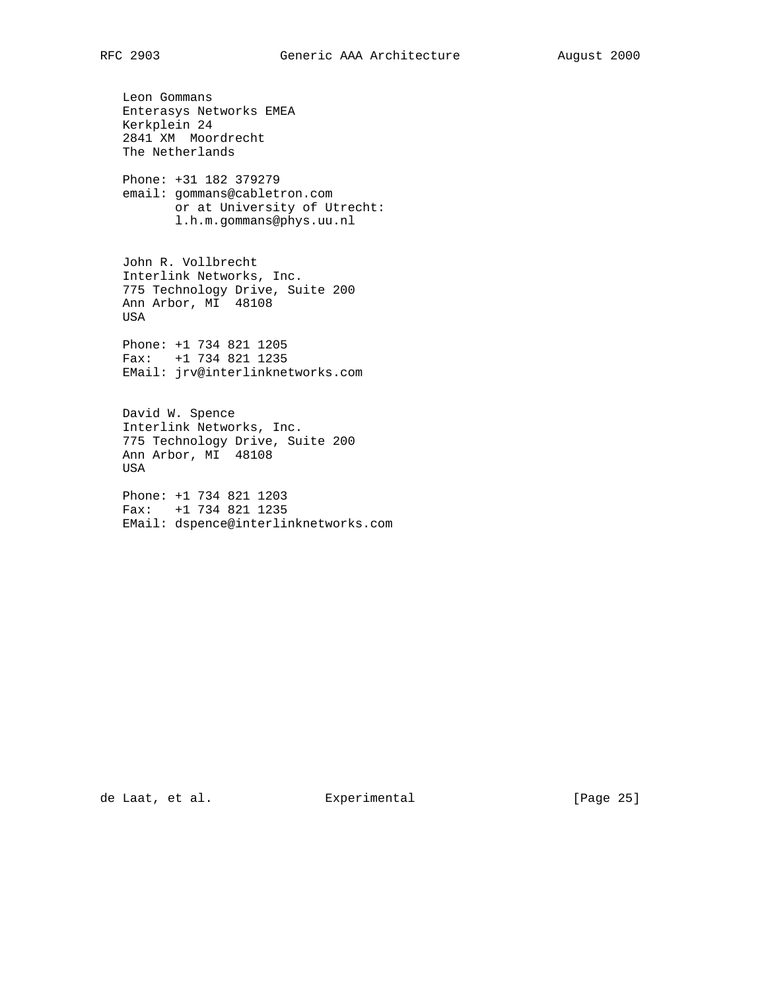Leon Gommans Enterasys Networks EMEA Kerkplein 24 2841 XM Moordrecht The Netherlands Phone: +31 182 379279 email: gommans@cabletron.com or at University of Utrecht: l.h.m.gommans@phys.uu.nl John R. Vollbrecht Interlink Networks, Inc. 775 Technology Drive, Suite 200 Ann Arbor, MI 48108 USA Phone: +1 734 821 1205 Fax: +1 734 821 1235

EMail: jrv@interlinknetworks.com

 David W. Spence Interlink Networks, Inc. 775 Technology Drive, Suite 200 Ann Arbor, MI 48108 USA

 Phone: +1 734 821 1203 Fax: +1 734 821 1235 EMail: dspence@interlinknetworks.com

de Laat, et al. **Experimental** [Page 25]